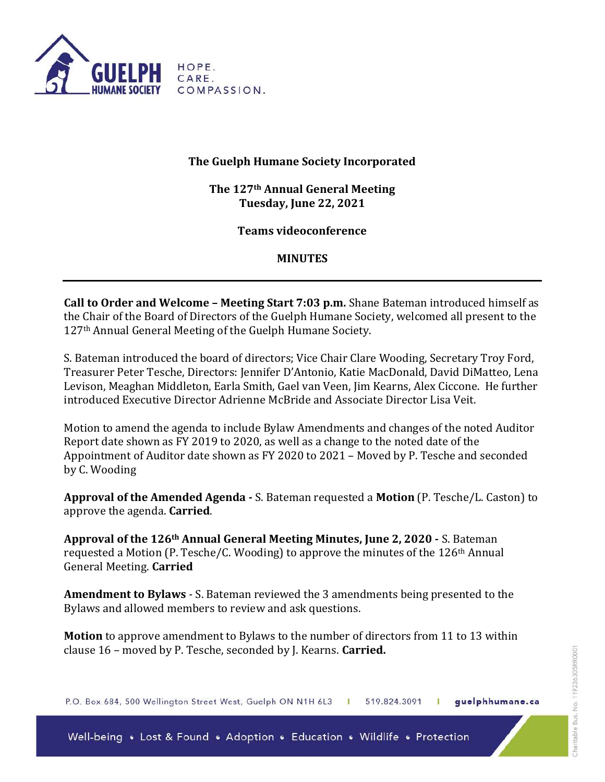

## The Guelph Humane Society Incorporated

The 127th Annual General Meeting Tuesday, June 22, 2021

Teams videoconference

## MINUTES

Call to Order and Welcome – Meeting Start 7:03 p.m. Shane Bateman introduced himself as the Chair of the Board of Directors of the Guelph Humane Society, welcomed all present to the 127th Annual General Meeting of the Guelph Humane Society.

S. Bateman introduced the board of directors; Vice Chair Clare Wooding, Secretary Troy Ford, Treasurer Peter Tesche, Directors: Jennifer D'Antonio, Katie MacDonald, David DiMatteo, Lena Levison, Meaghan Middleton, Earla Smith, Gael van Veen, Jim Kearns, Alex Ciccone. He further introduced Executive Director Adrienne McBride and Associate Director Lisa Veit.

Motion to amend the agenda to include Bylaw Amendments and changes of the noted Auditor Report date shown as FY 2019 to 2020, as well as a change to the noted date of the Appointment of Auditor date shown as FY 2020 to 2021 – Moved by P. Tesche and seconded by C. Wooding

Approval of the Amended Agenda - S. Bateman requested a Motion (P. Tesche/L. Caston) to approve the agenda. Carried.

Approval of the 126th Annual General Meeting Minutes, June 2, 2020 - S. Bateman requested a Motion (P. Tesche/C. Wooding) to approve the minutes of the 126<sup>th</sup> Annual General Meeting. Carried

Amendment to Bylaws - S. Bateman reviewed the 3 amendments being presented to the Bylaws and allowed members to review and ask questions.

Motion to approve amendment to Bylaws to the number of directors from 11 to 13 within clause 16 - moved by P. Tesche, seconded by J. Kearns. Carried.

P.O. Box 684, 500 Wellington Street West, Guelph ON N1H 6L3 | guelphhumane.ca 519.824.3091 Ŧ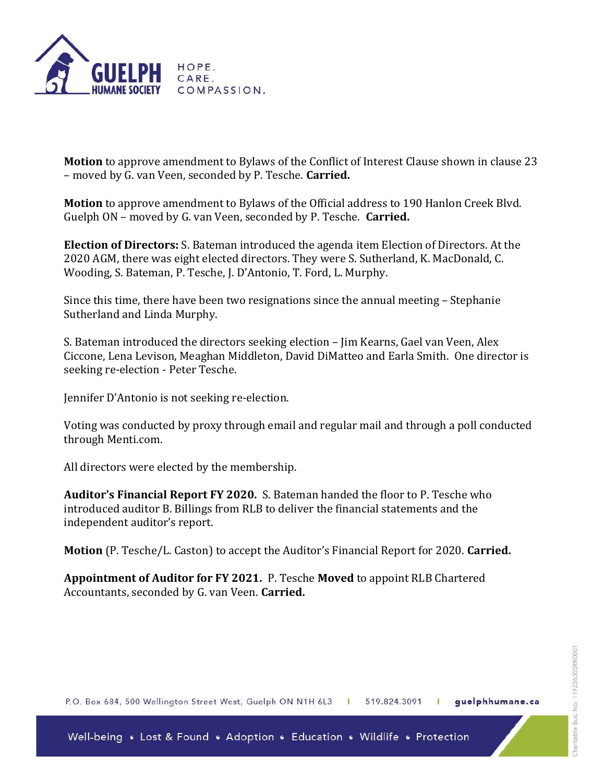

Motion to approve amendment to Bylaws of the Conflict of Interest Clause shown in clause 23 – moved by G. van Veen, seconded by P. Tesche. Carried.

Motion to approve amendment to Bylaws of the Official address to 190 Hanlon Creek Blvd. Guelph ON – moved by G. van Veen, seconded by P. Tesche. Carried.

Election of Directors: S. Bateman introduced the agenda item Election of Directors. At the 2020 AGM, there was eight elected directors. They were S. Sutherland, K. MacDonald, C. Wooding, S. Bateman, P. Tesche, J. D'Antonio, T. Ford, L. Murphy.

Since this time, there have been two resignations since the annual meeting – Stephanie Sutherland and Linda Murphy.

S. Bateman introduced the directors seeking election – Jim Kearns, Gael van Veen, Alex Ciccone, Lena Levison, Meaghan Middleton, David DiMatteo and Earla Smith. One director is seeking re-election - Peter Tesche.

Jennifer D'Antonio is not seeking re-election.

Voting was conducted by proxy through email and regular mail and through a poll conducted through Menti.com.

All directors were elected by the membership.

Auditor's Financial Report FY 2020. S. Bateman handed the floor to P. Tesche who introduced auditor B. Billings from RLB to deliver the financial statements and the independent auditor's report.

Motion (P. Tesche/L. Caston) to accept the Auditor's Financial Report for 2020. Carried.

Appointment of Auditor for FY 2021. P. Tesche Moved to appoint RLB Chartered Accountants, seconded by G. van Veen. Carried.

P.O. Box 684, 500 Wellington Street West, Guelph ON N1H 6L3 | 519.824.3091 guelphhumane.ca Ł